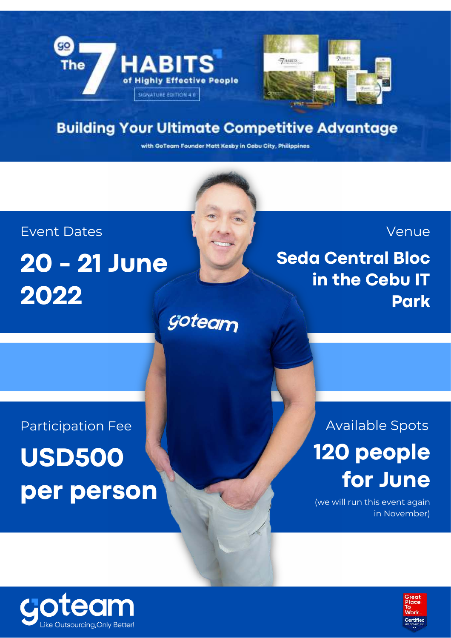

## **Building Your Ultimate Competitive Advantage**

with GoTeam Founder Matt Kesby in Cebu City, Philippines

# Event Dates **20 - 21 June 2022** goteam



**Seda Central Bloc in the Cebu IT Park**

**Venue** 

Participation Fee **USD500 per person**

# Available Spots **120 people for June**

(we will run this event again in November)



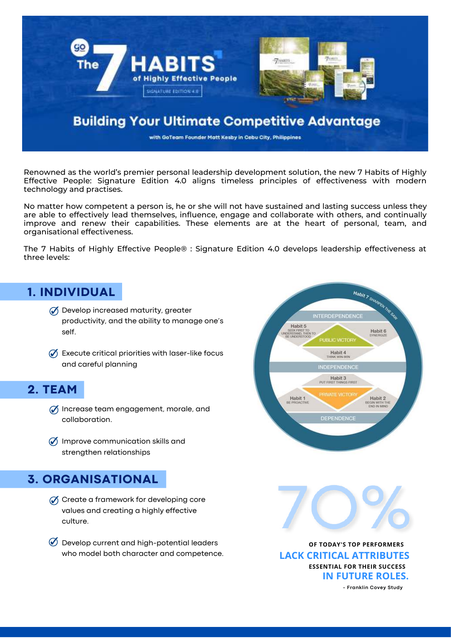

Renowned as the world's premier personal leadership development solution, the new 7 Habits of Highly Effective People: Signature Edition 4.0 aligns timeless principles of effectiveness with modern technology and practises.

No matter how competent a person is, he or she will not have sustained and lasting success unless they are able to effectively lead themselves, influence, engage and collaborate with others, and continually improve and renew their capabilities. These elements are at the heart of personal, team, and organisational effectiveness.

The 7 Habits of Highly Effective People® : Signature Edition 4.0 develops leadership effectiveness at three levels:

## **1. INDIVIDUAL**

- $\mathcal O$  Develop increased maturity, greater productivity, and the ability to manage one's self.
- $\mathcal O$  Execute critical priorities with laser-like focus and careful planning

## **2. TEAM**

- $\mathcal O$  Increase team engagement, morale, and collaboration.
- $\oslash$  Improve communication skills and strengthen relationships

## **3. ORGANISATIONAL**

- $\mathcal O$  Create a framework for developing core values and creating a highly effective culture.
- $\oslash$  Develop current and high-potential leaders who model both character and competence. **LACK CRITICAL ATTRIBUTES**





**OF TODAY'S TOP PERFORMERS ESSENTIAL FOR THEIR SUCCESS IN FUTURE ROLES.**

**- Franklin Covey Study**